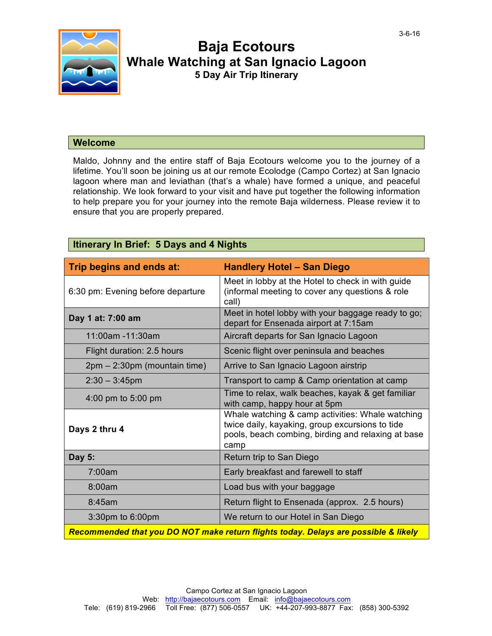

# **Baja Ecotours Whale Watching at San Ignacio Lagoon 5 Day Air Trip Itinerary**

# **Welcome**

**Itinerary In Brief: 5 Days and 4 Nights**

Maldo, Johnny and the entire staff of Baja Ecotours welcome you to the journey of a lifetime. You'll soon be joining us at our remote Ecolodge (Campo Cortez) at San Ignacio lagoon where man and leviathan (that's a whale) have formed a unique, and peaceful relationship. We look forward to your visit and have put together the following information to help prepare you for your journey into the remote Baja wilderness. Please review it to ensure that you are properly prepared.

| itinerary in Brief: 5 Days and 4 Nights                                             |                                                                                                                                                                   |  |  |
|-------------------------------------------------------------------------------------|-------------------------------------------------------------------------------------------------------------------------------------------------------------------|--|--|
| Trip begins and ends at:                                                            | <b>Handlery Hotel - San Diego</b>                                                                                                                                 |  |  |
| 6:30 pm: Evening before departure                                                   | Meet in lobby at the Hotel to check in with guide<br>(informal meeting to cover any questions & role<br>call)                                                     |  |  |
| Day 1 at: 7:00 am                                                                   | Meet in hotel lobby with your baggage ready to go;<br>depart for Ensenada airport at 7:15am                                                                       |  |  |
| 11:00am -11:30am                                                                    | Aircraft departs for San Ignacio Lagoon                                                                                                                           |  |  |
| Flight duration: 2.5 hours                                                          | Scenic flight over peninsula and beaches                                                                                                                          |  |  |
| 2pm – 2:30pm (mountain time)                                                        | Arrive to San Ignacio Lagoon airstrip                                                                                                                             |  |  |
| $2:30 - 3:45$ pm                                                                    | Transport to camp & Camp orientation at camp                                                                                                                      |  |  |
| 4:00 pm to 5:00 pm                                                                  | Time to relax, walk beaches, kayak & get familiar<br>with camp, happy hour at 5pm                                                                                 |  |  |
| Days 2 thru 4                                                                       | Whale watching & camp activities: Whale watching<br>twice daily, kayaking, group excursions to tide<br>pools, beach combing, birding and relaxing at base<br>camp |  |  |
| Day 5:                                                                              | Return trip to San Diego                                                                                                                                          |  |  |
| 7:00am                                                                              | Early breakfast and farewell to staff                                                                                                                             |  |  |
| 8:00am                                                                              | Load bus with your baggage                                                                                                                                        |  |  |
| 8:45am                                                                              | Return flight to Ensenada (approx. 2.5 hours)                                                                                                                     |  |  |
| 3:30pm to 6:00pm                                                                    | We return to our Hotel in San Diego                                                                                                                               |  |  |
| Recommended that you DO NOT make return flights today. Delays are possible & likely |                                                                                                                                                                   |  |  |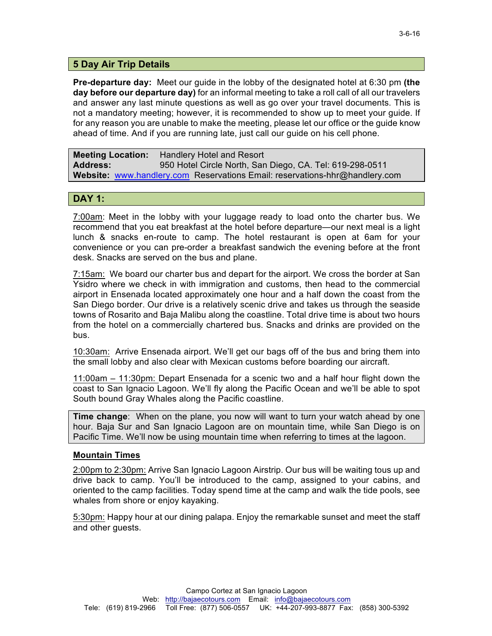# **5 Day Air Trip Details**

**Pre-departure day:** Meet our guide in the lobby of the designated hotel at 6:30 pm **(the day before our departure day)** for an informal meeting to take a roll call of all our travelers and answer any last minute questions as well as go over your travel documents. This is not a mandatory meeting; however, it is recommended to show up to meet your guide. If for any reason you are unable to make the meeting, please let our office or the guide know ahead of time. And if you are running late, just call our guide on his cell phone.

**Meeting Location:** Handlery Hotel and Resort **Address:** 950 Hotel Circle North, San Diego, CA. Tel: 619-298-0511 **Website:** www.handlery.com Reservations Email: reservations-hhr@handlery.com

# **DAY 1:**

7:00am: Meet in the lobby with your luggage ready to load onto the charter bus. We recommend that you eat breakfast at the hotel before departure—our next meal is a light lunch & snacks en-route to camp. The hotel restaurant is open at 6am for your convenience or you can pre-order a breakfast sandwich the evening before at the front desk. Snacks are served on the bus and plane.

7:15am: We board our charter bus and depart for the airport. We cross the border at San Ysidro where we check in with immigration and customs, then head to the commercial airport in Ensenada located approximately one hour and a half down the coast from the San Diego border. Our drive is a relatively scenic drive and takes us through the seaside towns of Rosarito and Baja Malibu along the coastline. Total drive time is about two hours from the hotel on a commercially chartered bus. Snacks and drinks are provided on the bus.

10:30am: Arrive Ensenada airport. We'll get our bags off of the bus and bring them into the small lobby and also clear with Mexican customs before boarding our aircraft.

11:00am – 11:30pm: Depart Ensenada for a scenic two and a half hour flight down the coast to San Ignacio Lagoon. We'll fly along the Pacific Ocean and we'll be able to spot South bound Gray Whales along the Pacific coastline.

**Time change**: When on the plane, you now will want to turn your watch ahead by one hour. Baja Sur and San Ignacio Lagoon are on mountain time, while San Diego is on Pacific Time. We'll now be using mountain time when referring to times at the lagoon.

### **Mountain Times**

2:00pm to 2:30pm: Arrive San Ignacio Lagoon Airstrip. Our bus will be waiting tous up and drive back to camp. You'll be introduced to the camp, assigned to your cabins, and oriented to the camp facilities. Today spend time at the camp and walk the tide pools, see whales from shore or enjoy kayaking.

5:30pm: Happy hour at our dining palapa. Enjoy the remarkable sunset and meet the staff and other guests.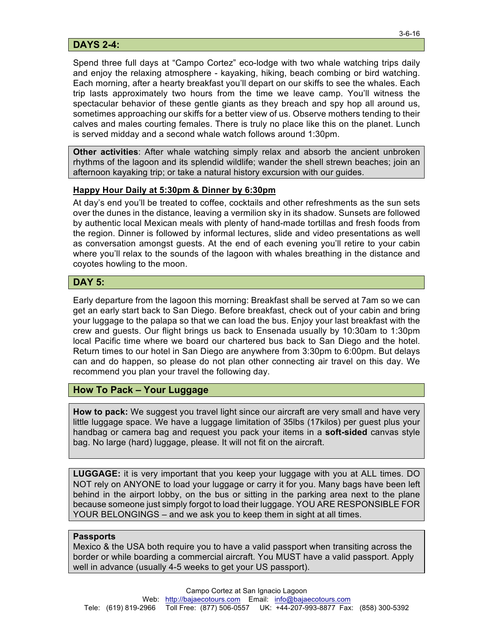# **DAYS 2-4:**

Spend three full days at "Campo Cortez" eco-lodge with two whale watching trips daily and enjoy the relaxing atmosphere - kayaking, hiking, beach combing or bird watching. Each morning, after a hearty breakfast you'll depart on our skiffs to see the whales. Each trip lasts approximately two hours from the time we leave camp. You'll witness the spectacular behavior of these gentle giants as they breach and spy hop all around us, sometimes approaching our skiffs for a better view of us. Observe mothers tending to their calves and males courting females. There is truly no place like this on the planet. Lunch is served midday and a second whale watch follows around 1:30pm.

**Other activities**: After whale watching simply relax and absorb the ancient unbroken rhythms of the lagoon and its splendid wildlife; wander the shell strewn beaches; join an afternoon kayaking trip; or take a natural history excursion with our guides.

# **Happy Hour Daily at 5:30pm & Dinner by 6:30pm**

At day's end you'll be treated to coffee, cocktails and other refreshments as the sun sets over the dunes in the distance, leaving a vermilion sky in its shadow. Sunsets are followed by authentic local Mexican meals with plenty of hand-made tortillas and fresh foods from the region. Dinner is followed by informal lectures, slide and video presentations as well as conversation amongst guests. At the end of each evening you'll retire to your cabin where you'll relax to the sounds of the lagoon with whales breathing in the distance and coyotes howling to the moon.

# **DAY 5:**

Early departure from the lagoon this morning: Breakfast shall be served at 7am so we can get an early start back to San Diego. Before breakfast, check out of your cabin and bring your luggage to the palapa so that we can load the bus. Enjoy your last breakfast with the crew and guests. Our flight brings us back to Ensenada usually by 10:30am to 1:30pm local Pacific time where we board our chartered bus back to San Diego and the hotel. Return times to our hotel in San Diego are anywhere from 3:30pm to 6:00pm. But delays can and do happen, so please do not plan other connecting air travel on this day. We recommend you plan your travel the following day.

# **How To Pack – Your Luggage**

**How to pack:** We suggest you travel light since our aircraft are very small and have very little luggage space. We have a luggage limitation of 35lbs (17kilos) per guest plus your handbag or camera bag and request you pack your items in a **soft-sided** canvas style bag. No large (hard) luggage, please. It will not fit on the aircraft.

**LUGGAGE:** it is very important that you keep your luggage with you at ALL times. DO NOT rely on ANYONE to load your luggage or carry it for you. Many bags have been left behind in the airport lobby, on the bus or sitting in the parking area next to the plane because someone just simply forgot to load their luggage. YOU ARE RESPONSIBLE FOR YOUR BELONGINGS – and we ask you to keep them in sight at all times.

#### **Passports**

Mexico & the USA both require you to have a valid passport when transiting across the border or while boarding a commercial aircraft. You MUST have a valid passport. Apply well in advance (usually 4-5 weeks to get your US passport).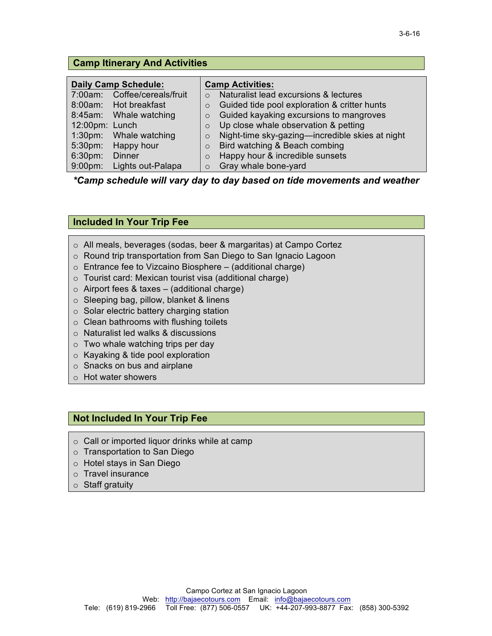|  |  |  | <b>Camp Itinerary And Activities</b> |
|--|--|--|--------------------------------------|
|--|--|--|--------------------------------------|

|                | <b>Daily Camp Schedule:</b>  | <b>Camp Activities:</b> |                                                 |
|----------------|------------------------------|-------------------------|-------------------------------------------------|
|                | 7:00am: Coffee/cereals/fruit |                         | Naturalist lead excursions & lectures           |
|                | 8:00am: Hot breakfast        | $\circ$                 | Guided tide pool exploration & critter hunts    |
|                | 8:45am: Whale watching       | $\circ$                 | Guided kayaking excursions to mangroves         |
| 12:00pm: Lunch |                              | $\circ$                 | Up close whale observation & petting            |
|                | 1:30pm: Whale watching       | $\circ$                 | Night-time sky-gazing-incredible skies at night |
|                | 5:30pm: Happy hour           | $\circ$                 | Bird watching & Beach combing                   |
| 6:30pm:        | <b>Dinner</b>                | $\Omega$                | Happy hour & incredible sunsets                 |
| $9:00$ pm:     | Lights out-Palapa            | $\Omega$                | Gray whale bone-yard                            |

*\*Camp schedule will vary day to day based on tide movements and weather*

# **Included In Your Trip Fee**

- o All meals, beverages (sodas, beer & margaritas) at Campo Cortez
- o Round trip transportation from San Diego to San Ignacio Lagoon
- $\circ$  Entrance fee to Vizcaino Biosphere (additional charge)
- o Tourist card: Mexican tourist visa (additional charge)
- $\circ$  Airport fees & taxes (additional charge)
- o Sleeping bag, pillow, blanket & linens
- o Solar electric battery charging station
- $\circ$  Clean bathrooms with flushing toilets
- o Naturalist led walks & discussions
- o Two whale watching trips per day
- o Kayaking & tide pool exploration
- o Snacks on bus and airplane
- o Hot water showers

### **Not Included In Your Trip Fee**

- o Call or imported liquor drinks while at camp
- o Transportation to San Diego
- o Hotel stays in San Diego
- o Travel insurance
- o Staff gratuity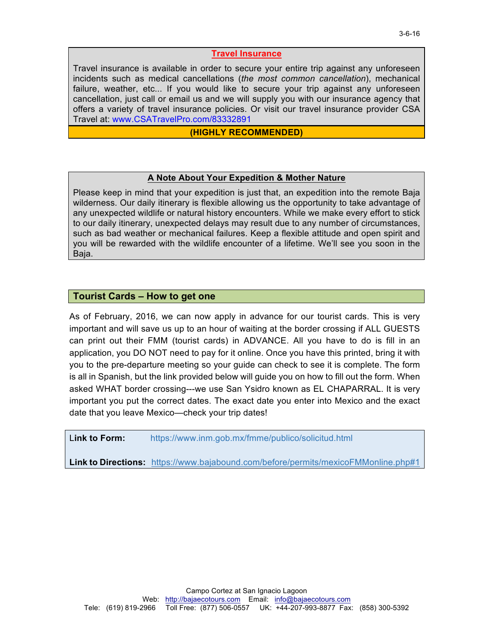#### **Travel Insurance**

Travel insurance is available in order to secure your entire trip against any unforeseen incidents such as medical cancellations (*the most common cancellation*), mechanical failure, weather, etc... If you would like to secure your trip against any unforeseen cancellation, just call or email us and we will supply you with our insurance agency that offers a variety of travel insurance policies. Or visit our travel insurance provider CSA Travel at: www.CSATravelPro.com/83332891

#### **(HIGHLY RECOMMENDED)**

#### **A Note About Your Expedition & Mother Nature**

Please keep in mind that your expedition is just that, an expedition into the remote Baja wilderness. Our daily itinerary is flexible allowing us the opportunity to take advantage of any unexpected wildlife or natural history encounters. While we make every effort to stick to our daily itinerary, unexpected delays may result due to any number of circumstances, such as bad weather or mechanical failures. Keep a flexible attitude and open spirit and you will be rewarded with the wildlife encounter of a lifetime. We'll see you soon in the Baja.

# **Tourist Cards – How to get one**

As of February, 2016, we can now apply in advance for our tourist cards. This is very important and will save us up to an hour of waiting at the border crossing if ALL GUESTS can print out their FMM (tourist cards) in ADVANCE. All you have to do is fill in an application, you DO NOT need to pay for it online. Once you have this printed, bring it with you to the pre-departure meeting so your guide can check to see it is complete. The form is all in Spanish, but the link provided below will guide you on how to fill out the form. When asked WHAT border crossing---we use San Ysidro known as EL CHAPARRAL. It is very important you put the correct dates. The exact date you enter into Mexico and the exact date that you leave Mexico—check your trip dates!

L**ink to Form:** https://www.inm.gob.mx/fmme/publico/solicitud.html

**Link to Directions:** https://www.bajabound.com/before/permits/mexicoFMMonline.php#1